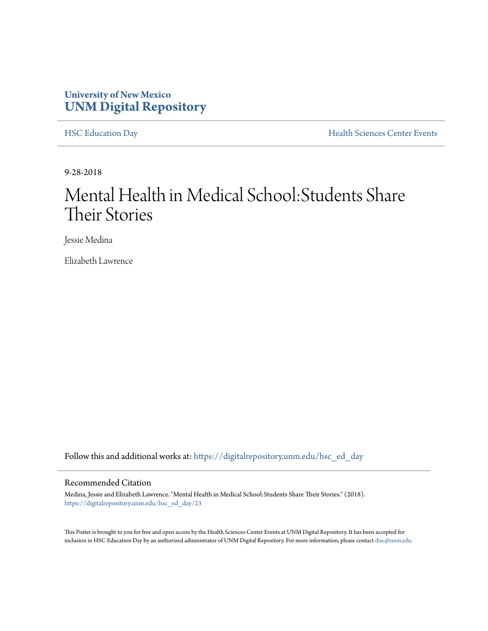## **University of New Mexico [UNM Digital Repository](https://digitalrepository.unm.edu?utm_source=digitalrepository.unm.edu%2Fhsc_ed_day%2F23&utm_medium=PDF&utm_campaign=PDFCoverPages)**

[HSC Education Day](https://digitalrepository.unm.edu/hsc_ed_day?utm_source=digitalrepository.unm.edu%2Fhsc_ed_day%2F23&utm_medium=PDF&utm_campaign=PDFCoverPages) **[Health Sciences Center Events](https://digitalrepository.unm.edu/hsc_events?utm_source=digitalrepository.unm.edu%2Fhsc_ed_day%2F23&utm_medium=PDF&utm_campaign=PDFCoverPages)** 

9-28-2018

## Mental Health in Medical School:Students Share Their Stories

Jessie Medina

Elizabeth Lawrence

Follow this and additional works at: [https://digitalrepository.unm.edu/hsc\\_ed\\_day](https://digitalrepository.unm.edu/hsc_ed_day?utm_source=digitalrepository.unm.edu%2Fhsc_ed_day%2F23&utm_medium=PDF&utm_campaign=PDFCoverPages)

### Recommended Citation

Medina, Jessie and Elizabeth Lawrence. "Mental Health in Medical School:Students Share Their Stories." (2018). [https://digitalrepository.unm.edu/hsc\\_ed\\_day/23](https://digitalrepository.unm.edu/hsc_ed_day/23?utm_source=digitalrepository.unm.edu%2Fhsc_ed_day%2F23&utm_medium=PDF&utm_campaign=PDFCoverPages)

This Poster is brought to you for free and open access by the Health Sciences Center Events at UNM Digital Repository. It has been accepted for inclusion in HSC Education Day by an authorized administrator of UNM Digital Repository. For more information, please contact [disc@unm.edu](mailto:disc@unm.edu).